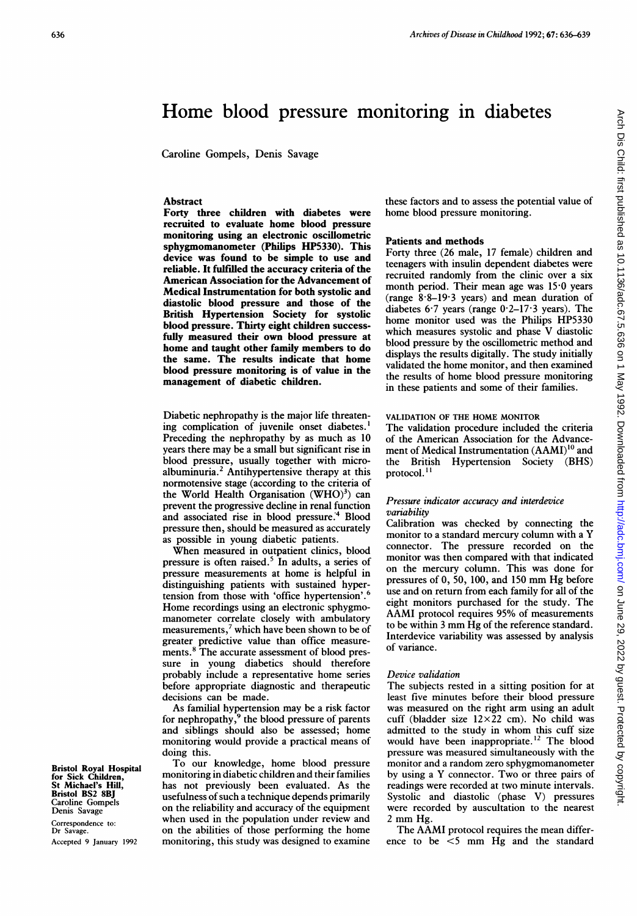# Home blood pressure monitoring in diabetes

Caroline Gompels, Denis Savage

# Abstract

Forty three children with diabetes were recruited to evaluate home blood pressure monitoring using an electronic oscillometric sphygmomanometer (Philips HP5330). This device was found to be simple to use and reliable. It fulfilled the accuracy criteria of the American Association for the Advancement of Medical Instrumentation for both systolic and diastolic blood pressure and those of the British Hypertension Society for systolic blood pressure. Thirty eight children successfully measured their own blood pressure at home and taught other family members to do the same. The results indicate that home blood pressure monitoring is of value in the management of diabetic children.

Diabetic nephropathy is the major life threatening complication of juvenile onset diabetes.' Preceding the nephropathy by as much as 10 years there may be <sup>a</sup> small but significant rise in blood pressure, usually together with microalbuminuria.<sup>2</sup> Antihypertensive therapy at this normotensive stage (according to the criteria of the World Health Organisation  $(WHO)^3$  can prevent the progressive decline in renal function and associated rise in blood pressure.<sup>4</sup> Blood pressure then, should be measured as accurately as possible in young diabetic patients.

When measured in outpatient clinics, blood pressure is often raised.<sup>5</sup> In adults, a series of pressure measurements at home is helpful in distinguishing patients with sustained hypertension from those with 'office hypertension'.6 Home recordings using an electronic sphygmomanometer correlate closely with ambulatory measurements,<sup>7</sup> which have been shown to be of greater predictive value than office measurements.8 The accurate assessment of blood pressure in young diabetics should therefore probably include a representative home series before appropriate diagnostic and therapeutic decisions can be made.

As familial hypertension may be a risk factor for nephropathy, $9$  the blood pressure of parents and siblings should also be assessed; home monitoring would provide a practical means of doing this.

To our knowledge, home blood pressure monitoring in diabetic children and their families has not previously been evaluated. As the usefulness of such a technique depends primarily on the reliability and accuracy of the equipment when used in the population under review and on the abilities of those performing the home monitoring, this study was designed to examine

these factors and to assess the potential value of home blood pressure monitoring.

#### Patients and methods

Forty three (26 male, 17 female) children and teenagers with insulin dependent diabetes were recruited randomly from the clinic over a six month period. Their mean age was 15-0 years (range  $8.8-19.3$  years) and mean duration of diabetes  $6.7$  years (range  $0.2-17.3$  years). The home monitor used was the Philips HP5330 which measures systolic and phase V diastolic blood pressure by the oscillometric method and displays the results digitally. The study initially validated the home monitor, and then examined the results of home blood pressure monitoring in these patients and some of their families.

# VALIDATION OF THE HOME MONITOR

The validation procedure included the criteria of the American Association for the Advancement of Medical Instrumentation  $(AAMI)^{10}$  and<br>the British Hypertension Society (BHS) the British Hypertension Society protocol.<sup>11</sup>

# Pressure indicator accuracy and interdevice variability

Calibration was checked by connecting the monitor to <sup>a</sup> standard mercury column with <sup>a</sup> Y connector. The pressure recorded on the monitor was then compared with that indicated on the mercury column. This was done for pressures of 0, 50, 100, and <sup>150</sup> mm Hg before use and on return from each family for all of the eight monitors purchased for the study. The AAMI protocol requires 95% of measurements to be within <sup>3</sup> mm Hg of the reference standard. Interdevice variability was assessed by analysis of variance.

# Device validation

The subjects rested in a sitting position for at least five minutes before their blood pressure was measured on the right arm using an adult cuff (bladder size  $12\times22$  cm). No child was admitted to the study in whom this cuff size would have been inappropriate. <sup>12</sup> The blood pressure was measured simultaneously with the monitor and a random zero sphygmomanometer by using <sup>a</sup> Y connector. Two or three pairs of readings were recorded at two minute intervals. Systolic and diastolic (phase V) pressures were recorded by auscultation to the nearest <sup>2</sup> mm Hg.

The AAMI protocol requires the mean difference to be <5 mm Hg and the standard

Bristol Royal Hospital for Sick Children, St Michael's Hill, Bristol BS2 8BJ Caroline Gompels Denis Savage

Correspondence to: Dr Savage. Accepted 9 January 1992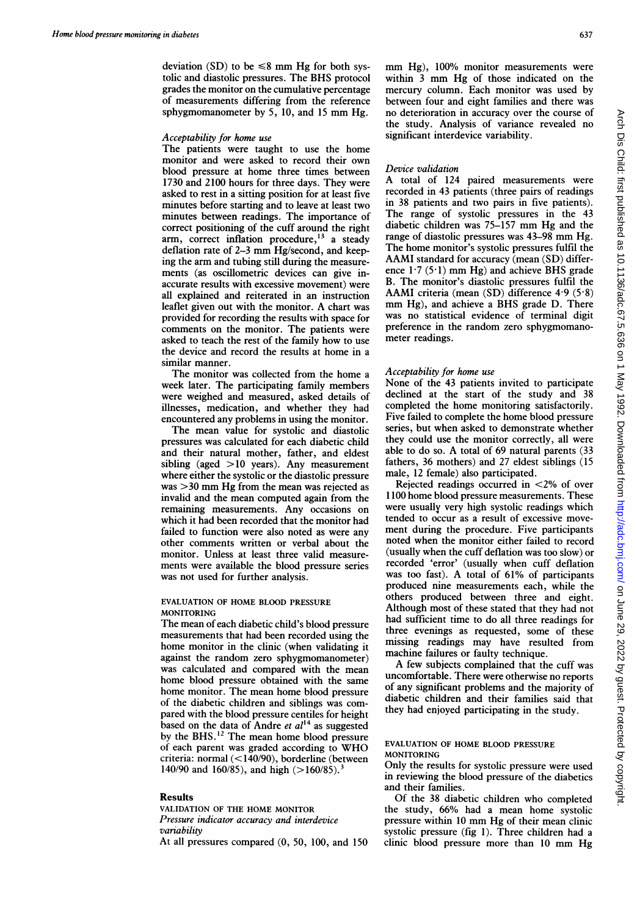deviation (SD) to be  $\leq 8$  mm Hg for both systolic and diastolic pressures. The BHS protocol grades the monitor on the cumulative percentage of measurements differing from the reference sphygmomanometer by 5, 10, and <sup>15</sup> mm Hg.

# Acceptability for home use

The patients were taught to use the home monitor and were asked to record their own blood pressure at home three times between 1730 and 2100 hours for three days. They were asked to rest in a sitting position for at least five minutes before starting and to leave at least two minutes between readings. The importance of correct positioning of the cuff around the right arm, correct inflation procedure,<sup>13</sup> a steady deflation rate of 2-3 mm Hg/second, and keeping the arm and tubing still during the measurements (as oscillometric devices can give inaccurate results with excessive movement) were all explained and reiterated in an instruction leaflet given out with the monitor. A chart was provided for recording the results with space for comments on the monitor. The patients were asked to teach the rest of the family how to use the device and record the results at home in a similar manner.

The monitor was collected from the home <sup>a</sup> week later. The participating family members were weighed and measured, asked details of illnesses, medication, and whether they had encountered any problems in using the monitor.

The mean value for systolic and diastolic pressures was calculated for each diabetic child and their natural mother, father, and eldest sibling (aged >10 years). Any measurement where either the systolic or the diastolic pressure was >30 mm Hg from the mean was rejected as invalid and the mean computed again from the remaining measurements. Any occasions on which it had been recorded that the monitor had failed to function were also noted as were any other comments written or verbal about the monitor. Unless at least three valid measurements were available the blood pressure series was not used for further analysis.

#### EVALUATION OF HOME BLOOD PRESSURE MONITORING

The mean of each diabetic child's blood pressure measurements that had been recorded using the home monitor in the clinic (when validating it against the random zero sphygmomanometer) was calculated and compared with the mean home blood pressure obtained with the same home monitor. The mean home blood pressure of the diabetic children and siblings was compared with the blood pressure centiles for height based on the data of Andre et  $al<sup>14</sup>$  as suggested by the BHS.<sup>12</sup> The mean home blood pressure of each parent was graded according to WHO criteria: normal (<140/90), borderline (between 140/90 and 160/85), and high  $(>160/85)$ .

#### Results

VALIDATION OF THE HOME MONITOR Pressure indicator accuracy and interdevice variability

At all pressures compared (0, 50, 100, and 150

mm Hg), 100% monitor measurements were within <sup>3</sup> mm Hg of those indicated on the mercury column. Each monitor was used by between four and eight families and there was no deterioration in accuracy over the course of the study. Analysis of variance revealed no significant interdevice variability.

#### Device validation

A total of <sup>124</sup> paired measurements were recorded in 43 patients (three pairs of readings in 38 patients and two pairs in five patients). The range of systolic pressures in the 43 diabetic children was 75-157 mm Hg and the range of diastolic pressures was 43-98 mm Hg. The home monitor's systolic pressures fulfil the AAMI standard for accuracy (mean (SD) difference  $1.7 (5.1)$  mm Hg) and achieve BHS grade B. The monitor's diastolic pressures fulfil the AAMI criteria (mean  $(SD)$  difference 4.9 (5.8) mm Hg), and achieve <sup>a</sup> BHS grade D. There was no statistical evidence of terminal digit preference in the random zero sphygmomanometer readings.

# Acceptability for home use

None of the 43 patients invited to participate declined at the start of the study and 38 completed the home monitoring satisfactorily. Five failed to complete the home blood pressure series, but when asked to demonstrate whether they could use the monitor correctly, all were able to do so. A total of 69 natural parents (33 fathers, 36 mothers) and 27 eldest siblings (15 male, 12 female) also participated.

Rejected readings occurred in <2% of over 1100 home blood pressure measurements. These were usually very high systolic readings which tended to occur as a result of excessive movement during the procedure. Five participants noted when the monitor either failed to record (usually when the cuff deflation was too slow) or recorded 'error' (usually when cuff deflation was too fast). A total of 61% of participants produced nine measurements each, while the others produced between three and eight. Although most of these stated that they had not had sufficient time to do all three readings for three evenings as requested, some of these missing readings may have resulted from machine failures or faulty technique.

A few subjects complained that the cuff was uncomfortable. There were otherwise no reports of any significant problems and the majority of diabetic children and their families said that they had enjoyed participating in the study.

#### EVALUATION OF HOME BLOOD PRESSURE MONITORING

Only the results for systolic pressure were used in reviewing the blood pressure of the diabetics and their families.

Of the 38 diabetic children who completed the study, 66% had <sup>a</sup> mean home systolic pressure within <sup>10</sup> mm Hg of their mean clinic systolic pressure (fig 1). Three children had a clinic blood pressure more than <sup>10</sup> mm Hg

637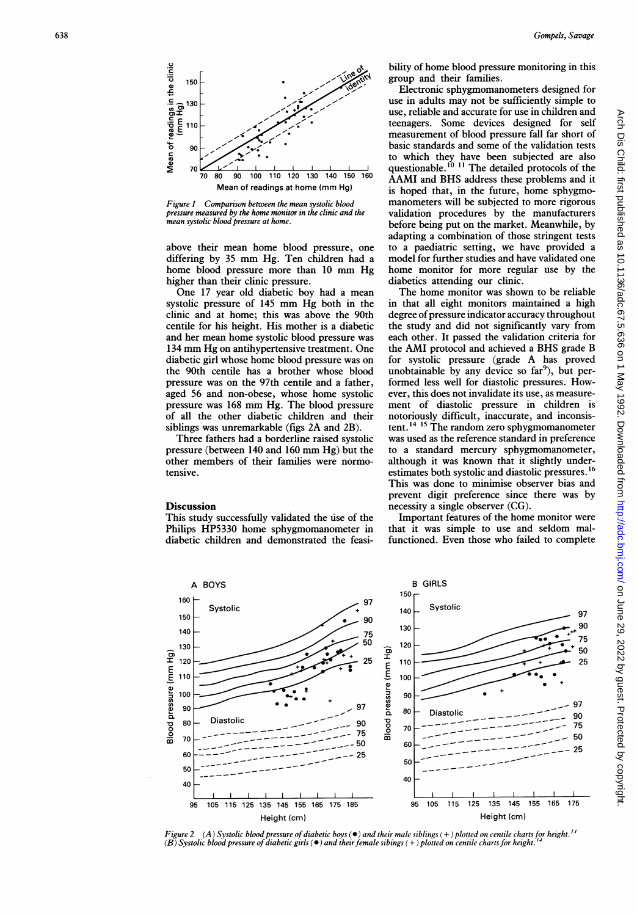

Figure 1 Comparison between the mean systolic blood pressure measured by the home monitor in the clinic and the nean systolic blood pressure at home.

above their mean home blood pressure, one differing by 35 mm Hg. Ten children had a home blood pressure more than 10 mm Hg higher than their clinic pressure.

One 17 year old diabetic boy had a mean systolic pressure of 145 mm Hg both in the clinic and at home; this was above the 90th centile for his height. His mother is a diabetic and her mean home systolic blood pressure was 134 mm Hg on antihypertensive treatment. One diabetic girl whose home blood pressure was on the 90th centile has a brother whose blood pressure was on the 97th centile and a father. aged 56 and non-obese, whose home systolic pressure was 168 mm Hg. The blood pressure of all the other diabetic children and their siblings was unremarkable (figs 2A and 2B).

Three fathers had a borderline raised systolic pressure (between 140 and 160 mm Hg) but the other members of their families were normotensive.

#### **Discussion**

This study successfully validated the use of the Philips HP5330 home sphygmomanometer in diabetic children and demonstrated the feasibility of home blood pressure monitoring in this group and their families.

Electronic sphygmomanometers designed for use in adults may not be sufficiently simple to use, reliable and accurate for use in children and teenagers. Some devices designed for self measurement of blood pressure fall far short of basic standards and some of the validation tests to which they have been subjected are also<br>questionable.<sup>10 11</sup> The detailed protocols of the AAMI and BHS address these problems and it is hoped that, in the future, home sphygmomanometers will be subjected to more rigorous validation procedures by the manufacturers before being put on the market. Meanwhile, by adapting a combination of those stringent tests to a paediatric setting, we have provided a model for further studies and have validated one home monitor for more regular use by the diabetics attending our clinic.

The home monitor was shown to be reliable in that all eight monitors maintained a high degree of pressure indicator accuracy throughout the study and did not significantly vary from each other. It passed the validation criteria for the AMI protocol and achieved a BHS grade B for systolic pressure (grade A has proved unobtainable by any device so far<sup>9</sup>), but performed less well for diastolic pressures. However, this does not invalidate its use, as measurement of diastolic pressure in children is notoriously difficult, inaccurate, and inconsistent.<sup>14</sup><sup>15</sup> The random zero sphygmomanometer was used as the reference standard in preference to a standard mercury sphygmomanometer, although it was known that it slightly underestimates both systolic and diastolic pressures.<sup>16</sup> This was done to minimise observer bias and prevent digit preference since there was by necessity a single observer (CG).

Important features of the home monitor were that it was simple to use and seldom malfunctioned. Even those who failed to complete



igure 2  $(A)$  Systolic blood pressure of diabetic boys ( $\bullet$ ) and their male siblings (+) plotted on centile charts for height.<sup>14</sup>  $(B)$  Systolic blood pressure of diabetic girls ( $\bullet$  ) and their female sibings (+) plotted on centile charts for height.